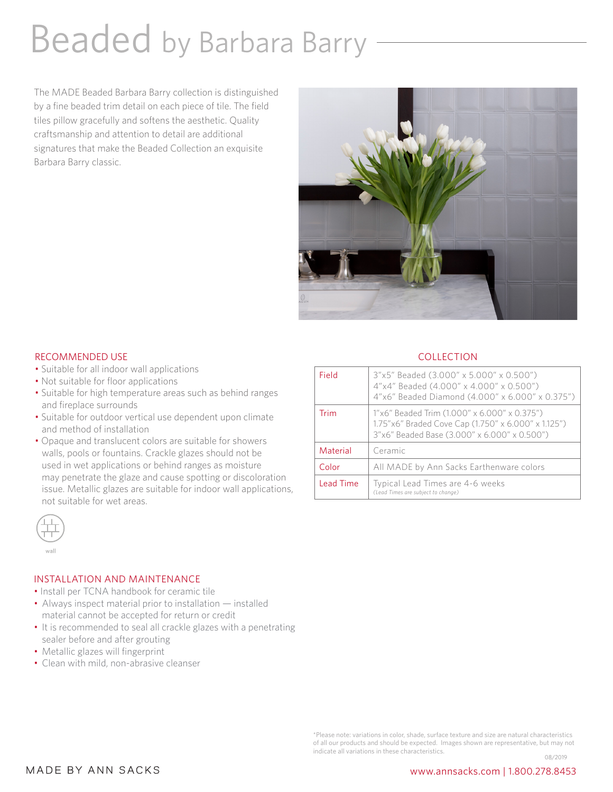# Beaded by Barbara Barry

The MADE Beaded Barbara Barry collection is distinguished by a fine beaded trim detail on each piece of tile. The field tiles pillow gracefully and softens the aesthetic. Quality craftsmanship and attention to detail are additional signatures that make the Beaded Collection an exquisite Barbara Barry classic.



### RECOMMENDED USE

- Suitable for all indoor wall applications
- Not suitable for floor applications
- Suitable for high temperature areas such as behind ranges and fireplace surrounds
- Suitable for outdoor vertical use dependent upon climate and method of installation
- Opaque and translucent colors are suitable for showers walls, pools or fountains. Crackle glazes should not be used in wet applications or behind ranges as moisture may penetrate the glaze and cause spotting or discoloration issue. Metallic glazes are suitable for indoor wall applications, not suitable for wet areas.



#### INSTALLATION AND MAINTENANCE

- Install per TCNA handbook for ceramic tile
- Always inspect material prior to installation *—* installed material cannot be accepted for return or credit
- It is recommended to seal all crackle glazes with a penetrating sealer before and after grouting
- Metallic glazes will fingerprint
- Clean with mild, non-abrasive cleanser

## **COLLECTION**

| Field            | 3"x5" Beaded (3.000" x 5.000" x 0.500")<br>4"x4" Beaded (4.000" x 4.000" x 0.500")<br>4"x6" Beaded Diamond (4.000" x 6.000" x 0.375")               |
|------------------|-----------------------------------------------------------------------------------------------------------------------------------------------------|
| Trim             | 1"x6" Beaded Trim (1.000" x 6.000" x 0.375")<br>1.75"x6" Braded Cove Cap (1.750" x 6.000" x 1.125")<br>3"x6" Beaded Base (3.000" x 6.000" x 0.500") |
| Material         | Ceramic                                                                                                                                             |
| Color            | All MADE by Ann Sacks Earthenware colors                                                                                                            |
| <b>Lead Time</b> | Typical Lead Times are 4-6 weeks<br>(Lead Times are subject to change)                                                                              |

\*Please note: variations in color, shade, surface texture and size are natural characteristics of all our products and should be expected. Images shown are representative, but may not indicate all variations in these characteristics. 08/2019